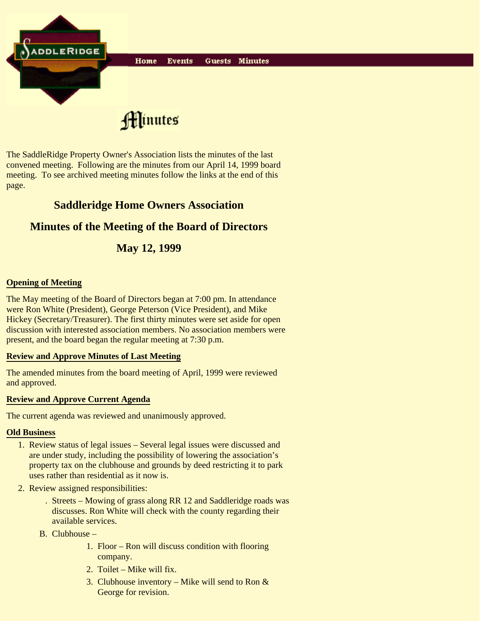

The SaddleRidge Property Owner's Association lists the minutes of the last convened meeting. Following are the minutes from our April 14, 1999 board meeting. To see archived meeting minutes follow the links at the end of this page.

# **Saddleridge Home Owners Association**

## **Minutes of the Meeting of the Board of Directors**

## **May 12, 1999**

### **Opening of Meeting**

The May meeting of the Board of Directors began at 7:00 pm. In attendance were Ron White (President), George Peterson (Vice President), and Mike Hickey (Secretary/Treasurer). The first thirty minutes were set aside for open discussion with interested association members. No association members were present, and the board began the regular meeting at 7:30 p.m.

#### **Review and Approve Minutes of Last Meeting**

The amended minutes from the board meeting of April, 1999 were reviewed and approved.

#### **Review and Approve Current Agenda**

The current agenda was reviewed and unanimously approved.

#### **Old Business**

- 1. Review status of legal issues Several legal issues were discussed and are under study, including the possibility of lowering the association's property tax on the clubhouse and grounds by deed restricting it to park uses rather than residential as it now is.
- 2. Review assigned responsibilities:
	- Streets Mowing of grass along RR 12 and Saddleridge roads was . discusses. Ron White will check with the county regarding their available services.
	- B. Clubhouse
		- 1. Floor Ron will discuss condition with flooring company.
		- 2. Toilet Mike will fix.
		- 3. Clubhouse inventory Mike will send to Ron  $\&$ George for revision.